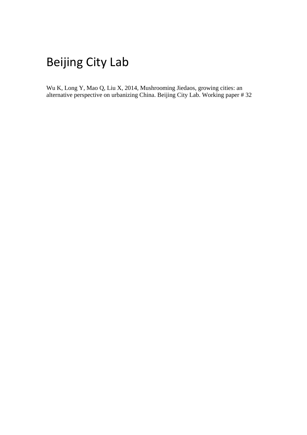## Beijing City Lab

Wu K, Long Y, Mao Q, Liu X, 2014, Mushrooming Jiedaos, growing cities: an alternative perspective on urbanizing China. Beijing City Lab. Working paper # 32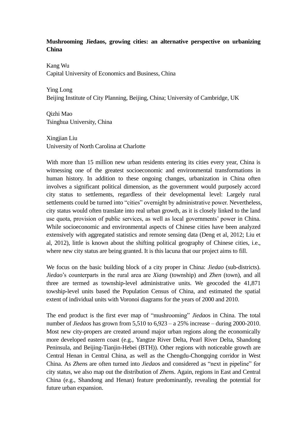## **Mushrooming Jiedaos, growing cities: an alternative perspective on urbanizing China**

Kang Wu Capital University of Economics and Business, China

Ying Long Beijing Institute of City Planning, Beijing, China; University of Cambridge, UK

Qizhi Mao Tsinghua University, China

Xingjian Liu University of North Carolina at Charlotte

With more than 15 million new urban residents entering its cities every year. China is witnessing one of the greatest socioeconomic and environmental transformations in human history. In addition to these ongoing changes, urbanization in China often involves a significant political dimension, as the government would purposely accord city status to settlements, regardless of their developmental level: Largely rural settlements could be turned into "cities" overnight by administrative power. Nevertheless, city status would often translate into real urban growth, as it is closely linked to the land use quota, provision of public services, as well as local governments' power in China. While socioeconomic and environmental aspects of Chinese cities have been analyzed extensively with aggregated statistics and remote sensing data (Deng et al, 2012; Liu et al, 2012), little is known about the shifting political geography of Chinese cities, i.e., where new city status are being granted. It is this lacuna that our project aims to fill.

We focus on the basic building block of a city proper in China: *Jiedao* (sub-districts). *Jiedao*'s counterparts in the rural area are *Xiang* (township) and *Zhen* (town), and all three are termed as township-level administrative units. We geocoded the 41,871 towship-level units based the Population Census of China, and estimated the spatial extent of individual units with Voronoi diagrams for the years of 2000 and 2010.

The end product is the first ever map of "mushrooming" *Jiedao*s in China. The total number of *Jiedaos* has grown from 5,510 to 6,923 – a 25% increase – during 2000-2010. Most new city-propers are created around major urban regions along the economically more developed eastern coast (e.g., Yangtze River Delta, Pearl River Delta, Shandong Peninsula, and Beijing-Tianjin-Hebei (BTH)). Other regions with noticeable growth are Central Henan in Central China, as well as the Chengdu-Chongqing corridor in West China. As *Zhen*s are often turned into *Jiedao*s and considered as "next in pipeline" for city status, we also map out the distribution of *Zhen*s. Again, regions in East and Central China (e.g., Shandong and Henan) feature predominantly, revealing the potential for future urban expansion.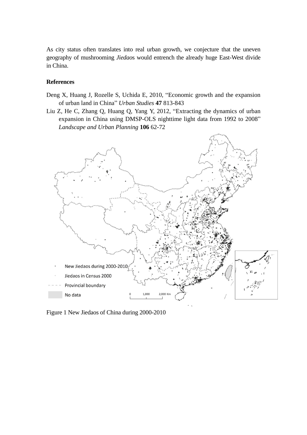As city status often translates into real urban growth, we conjecture that the uneven geography of mushrooming *Jiedao*s would entrench the already huge East-West divide in China.

## **References**

- Deng X, Huang J, Rozelle S, Uchida E, 2010, "Economic growth and the expansion of urban land in China" *Urban Studies* **47** 813-843
- Liu Z, He C, Zhang Q, Huang Q, Yang Y, 2012, "Extracting the dynamics of urban expansion in China using DMSP-OLS nighttime light data from 1992 to 2008" *Landscape and Urban Planning* **106** 62-72



Figure 1 New Jiedaos of China during 2000-2010